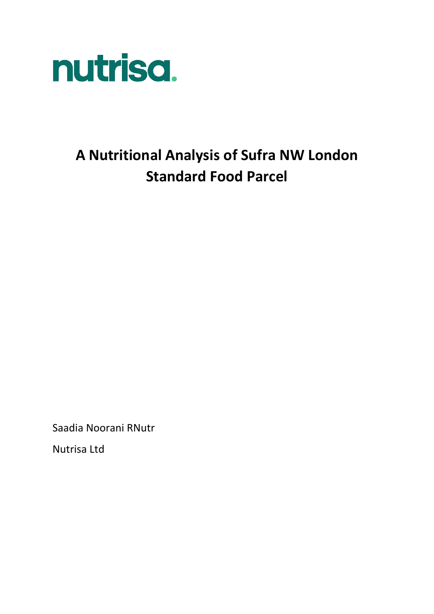

# **A Nutritional Analysis of Sufra NW London Standard Food Parcel**

Saadia Noorani RNutr

Nutrisa Ltd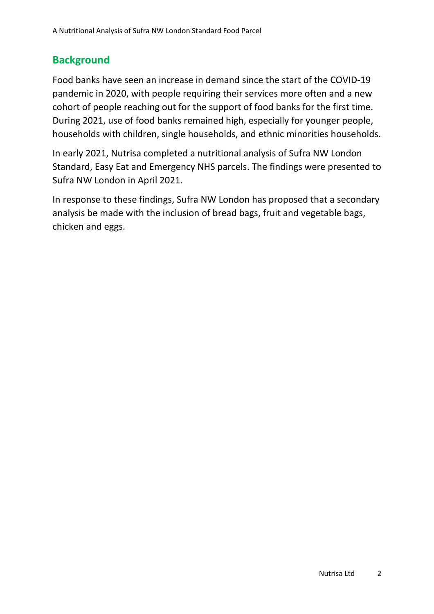## **Background**

Food banks have seen an increase in demand since the start of the COVID-19 pandemic in 2020, with people requiring their services more often and a new cohort of people reaching out for the support of food banks for the first time. During 2021, use of food banks remained high, especially for younger people, households with children, single households, and ethnic minorities households.

In early 2021, Nutrisa completed a nutritional analysis of Sufra NW London Standard, Easy Eat and Emergency NHS parcels. The findings were presented to Sufra NW London in April 2021.

In response to these findings, Sufra NW London has proposed that a secondary analysis be made with the inclusion of bread bags, fruit and vegetable bags, chicken and eggs.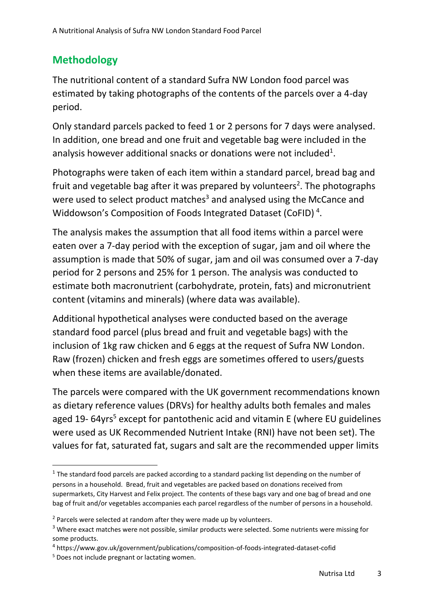## **Methodology**

The nutritional content of a standard Sufra NW London food parcel was estimated by taking photographs of the contents of the parcels over a 4-day period.

Only standard parcels packed to feed 1 or 2 persons for 7 days were analysed. In addition, one bread and one fruit and vegetable bag were included in the analysis however additional snacks or donations were not included<sup>1</sup>.

Photographs were taken of each item within a standard parcel, bread bag and fruit and vegetable bag after it was prepared by volunteers<sup>2</sup>. The photographs were used to select product matches<sup>3</sup> and analysed using the McCance and Widdowson's Composition of Foods Integrated Dataset (CoFID)<sup>4</sup>.

The analysis makes the assumption that all food items within a parcel were eaten over a 7-day period with the exception of sugar, jam and oil where the assumption is made that 50% of sugar, jam and oil was consumed over a 7-day period for 2 persons and 25% for 1 person. The analysis was conducted to estimate both macronutrient (carbohydrate, protein, fats) and micronutrient content (vitamins and minerals) (where data was available).

Additional hypothetical analyses were conducted based on the average standard food parcel (plus bread and fruit and vegetable bags) with the inclusion of 1kg raw chicken and 6 eggs at the request of Sufra NW London. Raw (frozen) chicken and fresh eggs are sometimes offered to users/guests when these items are available/donated.

The parcels were compared with the UK government recommendations known as dietary reference values (DRVs) for healthy adults both females and males aged  $19-64$ yrs<sup>5</sup> except for pantothenic acid and vitamin E (where EU guidelines were used as UK Recommended Nutrient Intake (RNI) have not been set). The values for fat, saturated fat, sugars and salt are the recommended upper limits

 $1$  The standard food parcels are packed according to a standard packing list depending on the number of persons in a household. Bread, fruit and vegetables are packed based on donations received from supermarkets, City Harvest and Felix project. The contents of these bags vary and one bag of bread and one bag of fruit and/or vegetables accompanies each parcel regardless of the number of persons in a household.

 $2$  Parcels were selected at random after they were made up by volunteers.

<sup>&</sup>lt;sup>3</sup> Where exact matches were not possible, similar products were selected. Some nutrients were missing for some products.

<sup>4</sup> https://www.gov.uk/government/publications/composition-of-foods-integrated-dataset-cofid

<sup>&</sup>lt;sup>5</sup> Does not include pregnant or lactating women.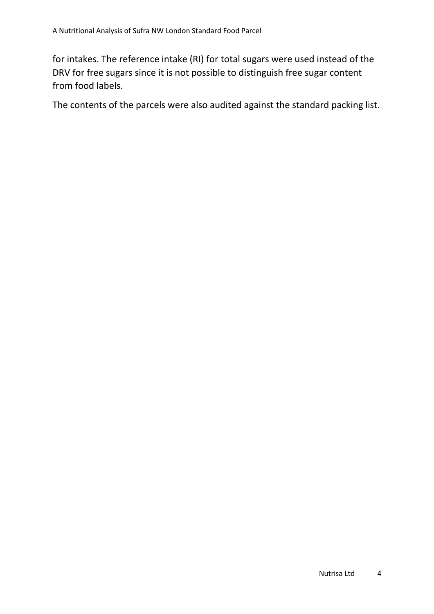for intakes. The reference intake (RI) for total sugars were used instead of the DRV for free sugars since it is not possible to distinguish free sugar content from food labels.

The contents of the parcels were also audited against the standard packing list.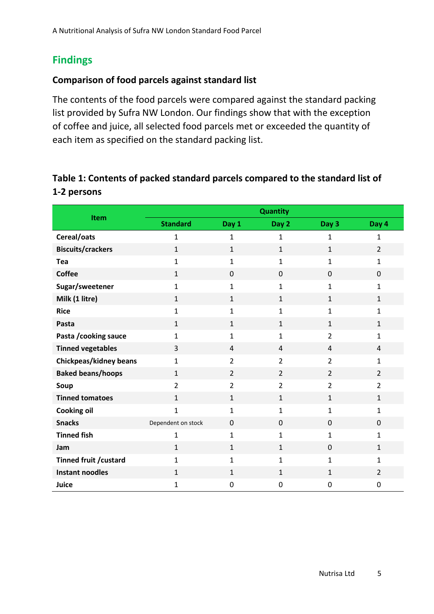## **Findings**

#### **Comparison of food parcels against standard list**

The contents of the food parcels were compared against the standard packing list provided by Sufra NW London. Our findings show that with the exception of coffee and juice, all selected food parcels met or exceeded the quantity of each item as specified on the standard packing list.

#### **Table 1: Contents of packed standard parcels compared to the standard list of 1-2 persons**

| <b>Item</b>                   | <b>Quantity</b>    |                |                |                |                |
|-------------------------------|--------------------|----------------|----------------|----------------|----------------|
|                               | <b>Standard</b>    | Day 1          | Day 2          | Day 3          | Day 4          |
| Cereal/oats                   | $\mathbf{1}$       | 1              | 1              | 1              | 1              |
| <b>Biscuits/crackers</b>      | $\mathbf{1}$       | $\mathbf{1}$   | $\mathbf{1}$   | $\mathbf{1}$   | $\overline{2}$ |
| Tea                           | $\mathbf{1}$       | 1              | $\mathbf{1}$   | $\mathbf{1}$   | $\mathbf{1}$   |
| <b>Coffee</b>                 | $\mathbf{1}$       | 0              | $\mathbf 0$    | $\Omega$       | 0              |
| Sugar/sweetener               | 1                  | 1              | 1              | 1              | $\mathbf{1}$   |
| Milk (1 litre)                | $\mathbf{1}$       | $\mathbf{1}$   | $\mathbf{1}$   | $\mathbf{1}$   | $\mathbf{1}$   |
| <b>Rice</b>                   | $\mathbf{1}$       | $\mathbf{1}$   | $\mathbf{1}$   | $\mathbf{1}$   | $\mathbf{1}$   |
| Pasta                         | $\mathbf{1}$       | $\mathbf{1}$   | 1              | $\mathbf{1}$   | $\mathbf{1}$   |
| Pasta / cooking sauce         | $\mathbf{1}$       | $\mathbf{1}$   | $\mathbf{1}$   | $\overline{2}$ | $\mathbf{1}$   |
| <b>Tinned vegetables</b>      | 3                  | 4              | 4              | 4              | 4              |
| <b>Chickpeas/kidney beans</b> | $\mathbf{1}$       | $\overline{2}$ | $\overline{2}$ | $\overline{2}$ | $\mathbf{1}$   |
| <b>Baked beans/hoops</b>      | $\mathbf{1}$       | $\overline{2}$ | $\overline{2}$ | $\overline{2}$ | $\overline{2}$ |
| Soup                          | $\overline{2}$     | $\overline{2}$ | $\overline{2}$ | $\overline{2}$ | $\overline{2}$ |
| <b>Tinned tomatoes</b>        | $\mathbf{1}$       | $\mathbf{1}$   | $\mathbf{1}$   | $\mathbf{1}$   | $\mathbf{1}$   |
| <b>Cooking oil</b>            | $\mathbf{1}$       | $\mathbf{1}$   | $\mathbf{1}$   | $\mathbf{1}$   | $\mathbf{1}$   |
| <b>Snacks</b>                 | Dependent on stock | $\mathbf 0$    | 0              | $\mathbf 0$    | 0              |
| <b>Tinned fish</b>            | $\mathbf{1}$       | 1              | $\mathbf{1}$   | $\mathbf{1}$   | $\mathbf{1}$   |
| Jam                           | $\mathbf{1}$       | $\mathbf{1}$   | $\mathbf{1}$   | $\Omega$       | $\mathbf{1}$   |
| Tinned fruit / custard        | 1                  | 1              | 1              | $\mathbf{1}$   | $\mathbf{1}$   |
| <b>Instant noodles</b>        | $\mathbf{1}$       | $\mathbf{1}$   | $\mathbf{1}$   | $\mathbf{1}$   | $\overline{2}$ |
| Juice                         | 1                  | $\mathbf 0$    | $\mathbf 0$    | $\mathbf{0}$   | 0              |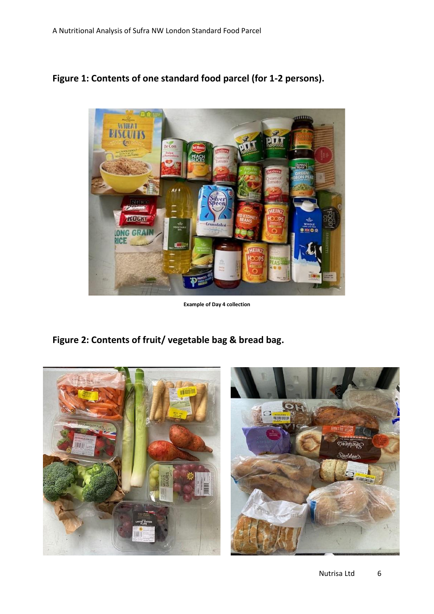



**Example of Day 4 collection**

**Figure 2: Contents of fruit/ vegetable bag & bread bag.**

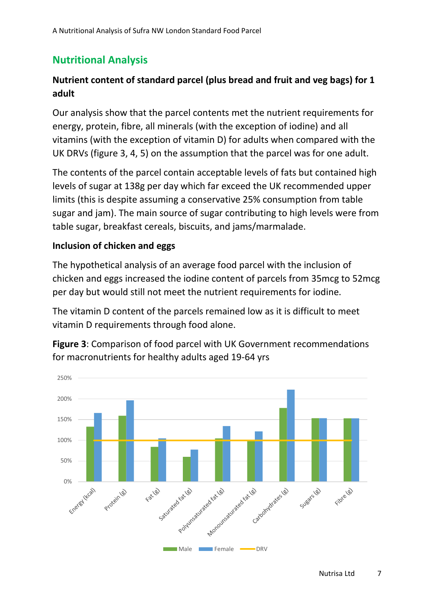## **Nutritional Analysis**

#### **Nutrient content of standard parcel (plus bread and fruit and veg bags) for 1 adult**

Our analysis show that the parcel contents met the nutrient requirements for energy, protein, fibre, all minerals (with the exception of iodine) and all vitamins (with the exception of vitamin D) for adults when compared with the UK DRVs (figure 3, 4, 5) on the assumption that the parcel was for one adult.

The contents of the parcel contain acceptable levels of fats but contained high levels of sugar at 138g per day which far exceed the UK recommended upper limits (this is despite assuming a conservative 25% consumption from table sugar and jam). The main source of sugar contributing to high levels were from table sugar, breakfast cereals, biscuits, and jams/marmalade.

#### **Inclusion of chicken and eggs**

The hypothetical analysis of an average food parcel with the inclusion of chicken and eggs increased the iodine content of parcels from 35mcg to 52mcg per day but would still not meet the nutrient requirements for iodine.

The vitamin D content of the parcels remained low as it is difficult to meet vitamin D requirements through food alone.



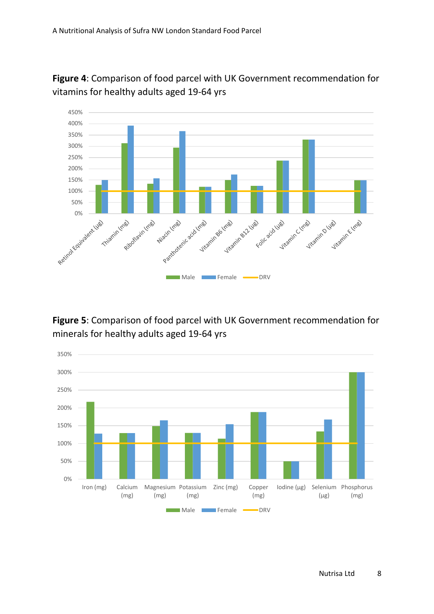

**Figure 4**: Comparison of food parcel with UK Government recommendation for vitamins for healthy adults aged 19-64 yrs

#### **Figure 5**: Comparison of food parcel with UK Government recommendation for minerals for healthy adults aged 19-64 yrs

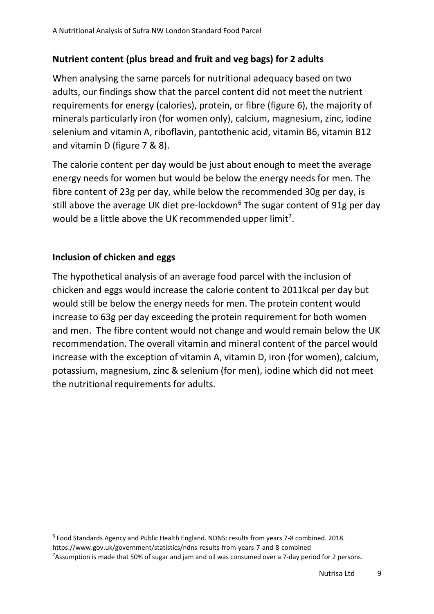### **Nutrient content (plus bread and fruit and veg bags) for 2 adults**

When analysing the same parcels for nutritional adequacy based on two adults, our findings show that the parcel content did not meet the nutrient requirements for energy (calories), protein, or fibre (figure 6), the majority of minerals particularly iron (for women only), calcium, magnesium, zinc, iodine selenium and vitamin A, riboflavin, pantothenic acid, vitamin B6, vitamin B12 and vitamin D (figure 7 & 8).

The calorie content per day would be just about enough to meet the average energy needs for women but would be below the energy needs for men. The fibre content of 23g per day, while below the recommended 30g per day, is still above the average UK diet pre-lockdown<sup>6</sup> The sugar content of 91g per day would be a little above the UK recommended upper limit<sup>7</sup>.

#### **Inclusion of chicken and eggs**

The hypothetical analysis of an average food parcel with the inclusion of chicken and eggs would increase the calorie content to 2011kcal per day but would still be below the energy needs for men. The protein content would increase to 63g per day exceeding the protein requirement for both women and men. The fibre content would not change and would remain below the UK recommendation. The overall vitamin and mineral content of the parcel would increase with the exception of vitamin A, vitamin D, iron (for women), calcium, potassium, magnesium, zinc & selenium (for men), iodine which did not meet the nutritional requirements for adults.

<sup>6</sup> Food Standards Agency and Public Health England. NDNS: results from years 7-8 combined. 2018.

https://www.gov.uk/government/statistics/ndns-results-from-years-7-and-8-combined

 $7$ Assumption is made that 50% of sugar and jam and oil was consumed over a 7-day period for 2 persons.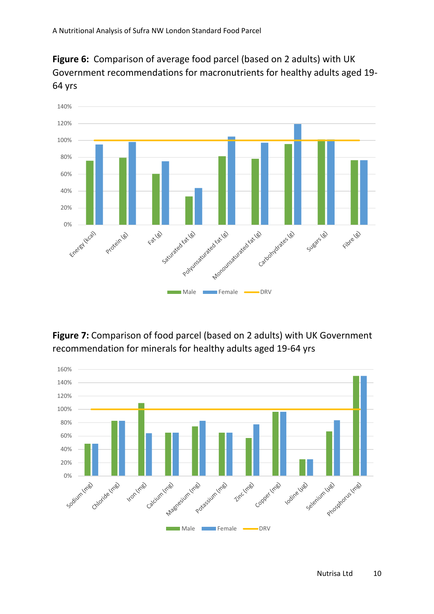



**Figure 7:** Comparison of food parcel (based on 2 adults) with UK Government recommendation for minerals for healthy adults aged 19-64 yrs

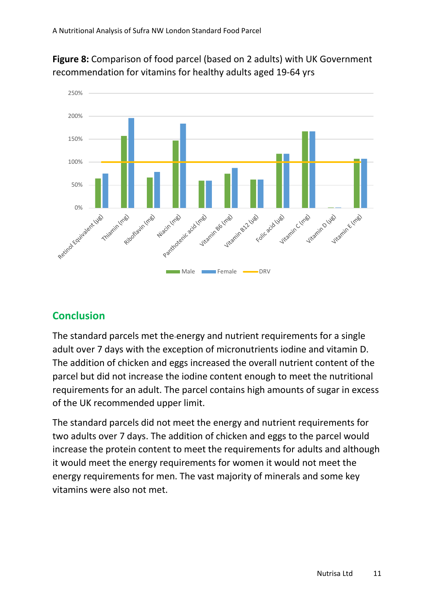

**Figure 8:** Comparison of food parcel (based on 2 adults) with UK Government recommendation for vitamins for healthy adults aged 19-64 yrs

### **Conclusion**

The standard parcels met the energy and nutrient requirements for a single adult over 7 days with the exception of micronutrients iodine and vitamin D. The addition of chicken and eggs increased the overall nutrient content of the parcel but did not increase the iodine content enough to meet the nutritional requirements for an adult. The parcel contains high amounts of sugar in excess of the UK recommended upper limit.

The standard parcels did not meet the energy and nutrient requirements for two adults over 7 days. The addition of chicken and eggs to the parcel would increase the protein content to meet the requirements for adults and although it would meet the energy requirements for women it would not meet the energy requirements for men. The vast majority of minerals and some key vitamins were also not met.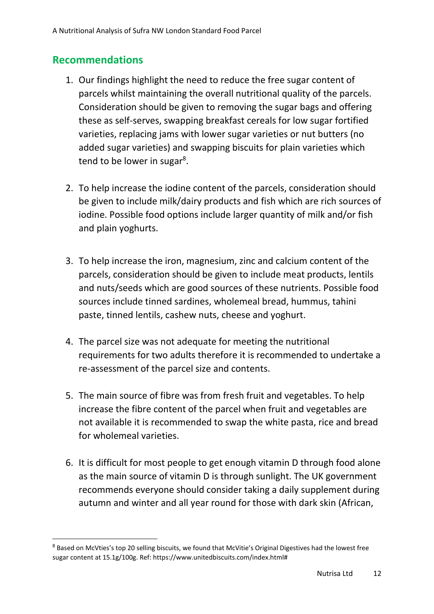### **Recommendations**

- 1. Our findings highlight the need to reduce the free sugar content of parcels whilst maintaining the overall nutritional quality of the parcels. Consideration should be given to removing the sugar bags and offering these as self-serves, swapping breakfast cereals for low sugar fortified varieties, replacing jams with lower sugar varieties or nut butters (no added sugar varieties) and swapping biscuits for plain varieties which tend to be lower in sugar<sup>8</sup>.
- 2. To help increase the iodine content of the parcels, consideration should be given to include milk/dairy products and fish which are rich sources of iodine. Possible food options include larger quantity of milk and/or fish and plain yoghurts.
- 3. To help increase the iron, magnesium, zinc and calcium content of the parcels, consideration should be given to include meat products, lentils and nuts/seeds which are good sources of these nutrients. Possible food sources include tinned sardines, wholemeal bread, hummus, tahini paste, tinned lentils, cashew nuts, cheese and yoghurt.
- 4. The parcel size was not adequate for meeting the nutritional requirements for two adults therefore it is recommended to undertake a re-assessment of the parcel size and contents.
- 5. The main source of fibre was from fresh fruit and vegetables. To help increase the fibre content of the parcel when fruit and vegetables are not available it is recommended to swap the white pasta, rice and bread for wholemeal varieties.
- 6. It is difficult for most people to get enough vitamin D through food alone as the main source of vitamin D is through sunlight. The UK government recommends everyone should consider taking a daily supplement during autumn and winter and all year round for those with dark skin (African,

<sup>8</sup> Based on McVties's top 20 selling biscuits, we found that McVitie's Original Digestives had the lowest free sugar content at 15.1g/100g. Ref: https://www.unitedbiscuits.com/index.html#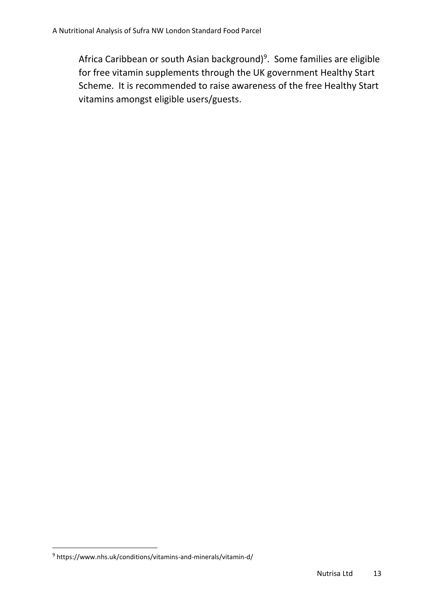Africa Caribbean or south Asian background)<sup>9</sup>. Some families are eligible for free vitamin supplements through the UK government Healthy Start Scheme. It is recommended to raise awareness of the free Healthy Start vitamins amongst eligible users/guests.

<sup>&</sup>lt;sup>9</sup> https://www.nhs.uk/conditions/vitamins-and-minerals/vitamin-d/